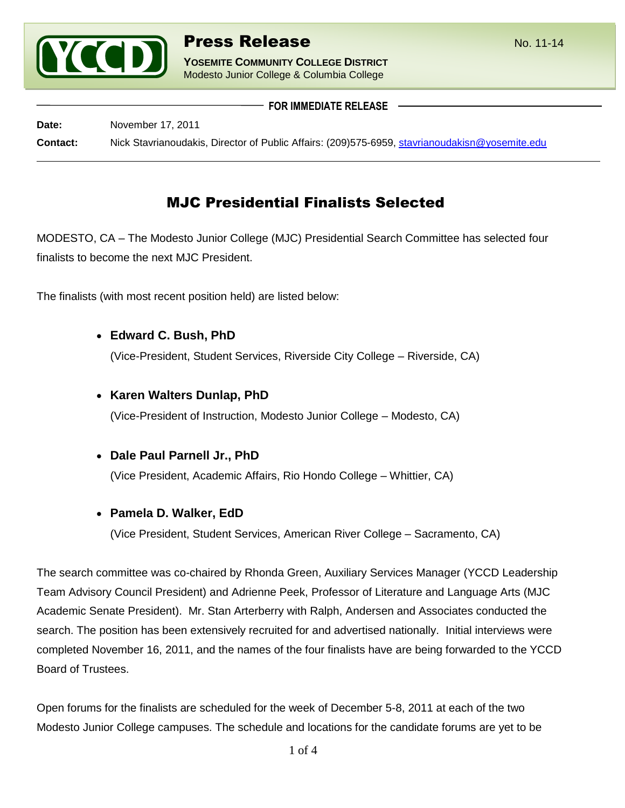

**YOSEMITE COMMUNITY COLLEGE DISTRICT** Modesto Junior College & Columbia College

**FOR IMMEDIATE RELEASE**

**Date:** November 17, 2011 **Contact:** Nick Stavrianoudakis, Director of Public Affairs: (209)575-6959, [stavrianoudakisn@yosemite.edu](mailto:stavrianoudakisn@yosemite.edu)

# MJC Presidential Finalists Selected

MODESTO, CA – The Modesto Junior College (MJC) Presidential Search Committee has selected four finalists to become the next MJC President.

The finalists (with most recent position held) are listed below:

**Edward C. Bush, PhD**

(Vice-President, Student Services, Riverside City College – Riverside, CA)

**Karen Walters Dunlap, PhD**

(Vice-President of Instruction, Modesto Junior College – Modesto, CA)

**Dale Paul Parnell Jr., PhD**

(Vice President, Academic Affairs, Rio Hondo College – Whittier, CA)

**Pamela D. Walker, EdD**

(Vice President, Student Services, American River College – Sacramento, CA)

The search committee was co-chaired by Rhonda Green, Auxiliary Services Manager (YCCD Leadership Team Advisory Council President) and Adrienne Peek, Professor of Literature and Language Arts (MJC Academic Senate President). Mr. Stan Arterberry with Ralph, Andersen and Associates conducted the search. The position has been extensively recruited for and advertised nationally. Initial interviews were completed November 16, 2011, and the names of the four finalists have are being forwarded to the YCCD Board of Trustees.

Open forums for the finalists are scheduled for the week of December 5-8, 2011 at each of the two Modesto Junior College campuses. The schedule and locations for the candidate forums are yet to be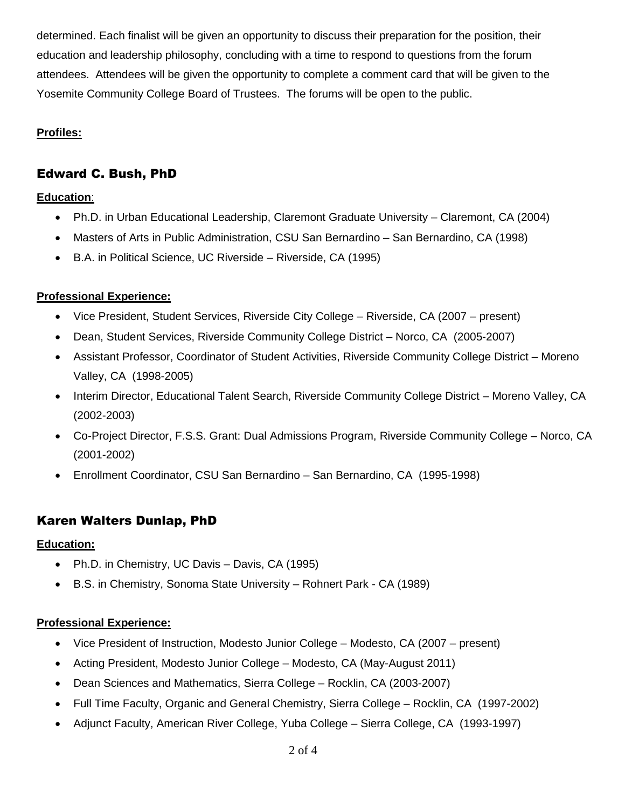determined. Each finalist will be given an opportunity to discuss their preparation for the position, their education and leadership philosophy, concluding with a time to respond to questions from the forum attendees. Attendees will be given the opportunity to complete a comment card that will be given to the Yosemite Community College Board of Trustees. The forums will be open to the public.

#### **Profiles:**

# Edward C. Bush, PhD

#### **Education**:

- Ph.D. in Urban Educational Leadership, Claremont Graduate University Claremont, CA (2004)
- Masters of Arts in Public Administration, CSU San Bernardino San Bernardino, CA (1998)
- B.A. in Political Science, UC Riverside Riverside, CA (1995)

#### **Professional Experience:**

- Vice President, Student Services, Riverside City College Riverside, CA (2007 present)
- Dean, Student Services, Riverside Community College District Norco, CA (2005-2007)
- Assistant Professor, Coordinator of Student Activities, Riverside Community College District Moreno Valley, CA (1998-2005)
- Interim Director, Educational Talent Search, Riverside Community College District Moreno Valley, CA (2002-2003)
- Co-Project Director, F.S.S. Grant: Dual Admissions Program, Riverside Community College Norco, CA (2001-2002)
- Enrollment Coordinator, CSU San Bernardino San Bernardino, CA (1995-1998)

# Karen Walters Dunlap, PhD

#### **Education:**

- Ph.D. in Chemistry, UC Davis Davis, CA (1995)
- B.S. in Chemistry, Sonoma State University Rohnert Park CA (1989)

#### **Professional Experience:**

- Vice President of Instruction, Modesto Junior College Modesto, CA (2007 present)
- Acting President, Modesto Junior College Modesto, CA (May-August 2011)
- Dean Sciences and Mathematics, Sierra College Rocklin, CA (2003-2007)
- Full Time Faculty, Organic and General Chemistry, Sierra College Rocklin, CA (1997-2002)
- Adjunct Faculty, American River College, Yuba College Sierra College, CA (1993-1997)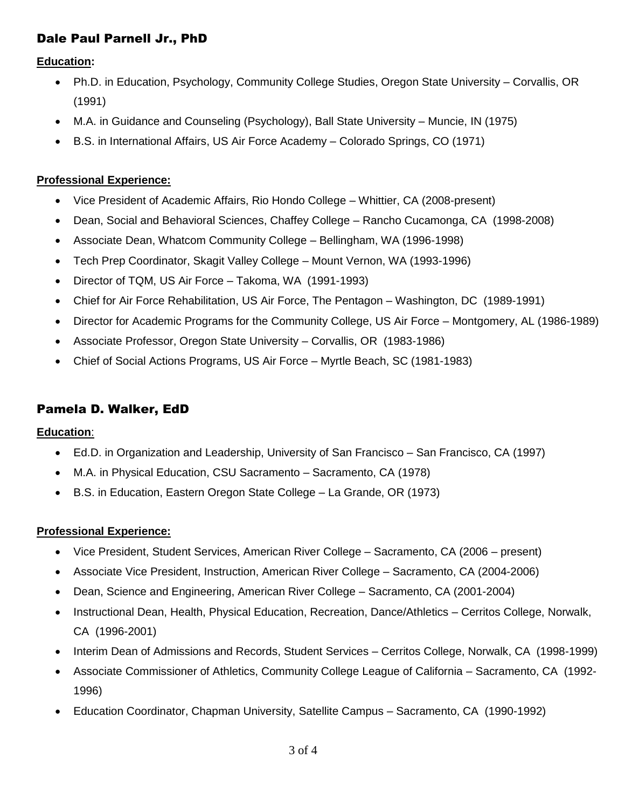# Dale Paul Parnell Jr., PhD

**Education:**

- Ph.D. in Education, Psychology, Community College Studies, Oregon State University Corvallis, OR (1991)
- M.A. in Guidance and Counseling (Psychology), Ball State University Muncie, IN (1975)
- B.S. in International Affairs, US Air Force Academy Colorado Springs, CO (1971)

### **Professional Experience:**

- Vice President of Academic Affairs, Rio Hondo College Whittier, CA (2008-present)
- Dean, Social and Behavioral Sciences, Chaffey College Rancho Cucamonga, CA (1998-2008)
- Associate Dean, Whatcom Community College Bellingham, WA (1996-1998)
- Tech Prep Coordinator, Skagit Valley College Mount Vernon, WA (1993-1996)
- Director of TQM, US Air Force Takoma, WA (1991-1993)
- Chief for Air Force Rehabilitation, US Air Force, The Pentagon Washington, DC (1989-1991)
- Director for Academic Programs for the Community College, US Air Force Montgomery, AL (1986-1989)
- Associate Professor, Oregon State University Corvallis, OR (1983-1986)
- Chief of Social Actions Programs, US Air Force Myrtle Beach, SC (1981-1983)

# Pamela D. Walker, EdD

**Education**:

- Ed.D. in Organization and Leadership, University of San Francisco San Francisco, CA (1997)
- M.A. in Physical Education, CSU Sacramento Sacramento, CA (1978)
- B.S. in Education, Eastern Oregon State College La Grande, OR (1973)

### **Professional Experience:**

- Vice President, Student Services, American River College Sacramento, CA (2006 present)
- Associate Vice President, Instruction, American River College Sacramento, CA (2004-2006)
- Dean, Science and Engineering, American River College Sacramento, CA (2001-2004)
- Instructional Dean, Health, Physical Education, Recreation, Dance/Athletics Cerritos College, Norwalk, CA (1996-2001)
- Interim Dean of Admissions and Records, Student Services Cerritos College, Norwalk, CA (1998-1999)
- Associate Commissioner of Athletics, Community College League of California Sacramento, CA (1992- 1996)
- Education Coordinator, Chapman University, Satellite Campus Sacramento, CA (1990-1992)